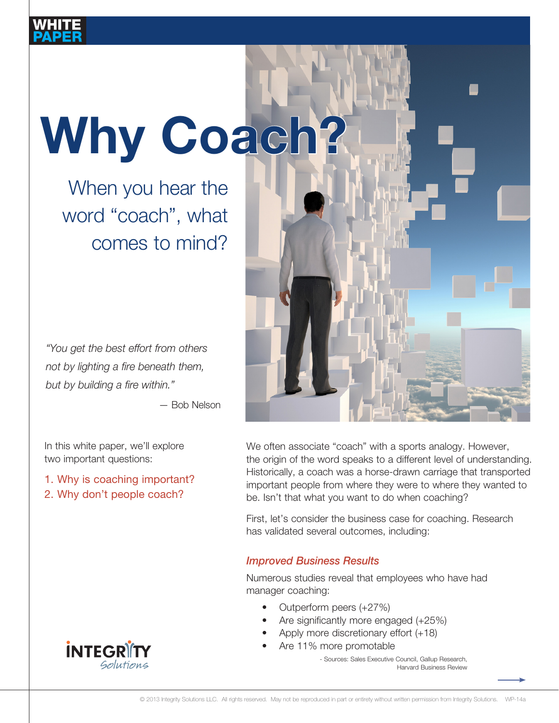# Why Coach?

When you hear the word "coach", what comes to mind?

*"You get the best effort from others not by lighting a fire beneath them, but by building a fire within."* 

— Bob Nelson

In this white paper, we'll explore two important questions:

1. Why is coaching important?

2. Why don't people coach?



We often associate "coach" with a sports analogy. However, the origin of the word speaks to a different level of understanding. Historically, a coach was a horse-drawn carriage that transported important people from where they were to where they wanted to be. Isn't that what you want to do when coaching?

First, let's consider the business case for coaching. Research has validated several outcomes, including:

# *Improved Business Results*

Numerous studies reveal that employees who have had manager coaching:

- Outperform peers (+27%)
- Are significantly more engaged (+25%)
- Apply more discretionary effort (+18)
- Are 11% more promotable
	- Sources: Sales Executive Council, Gallup Research, Harvard Business Review

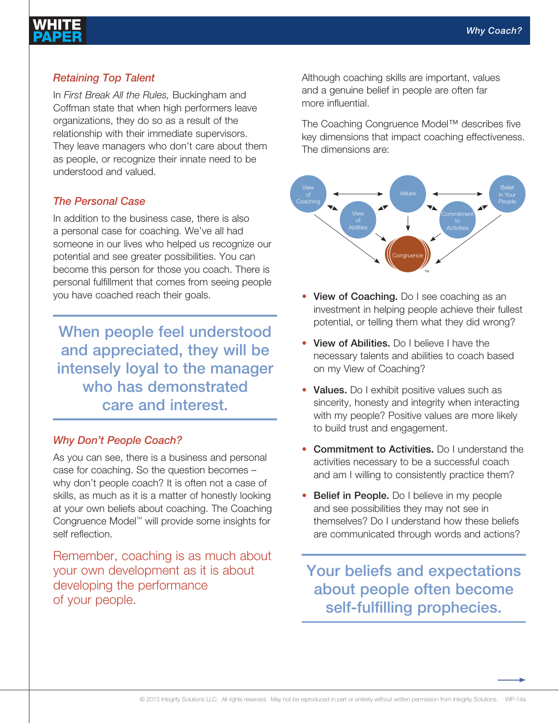# *Retaining Top Talent*

In *First Break All the Rules,* Buckingham and Coffman state that when high performers leave organizations, they do so as a result of the relationship with their immediate supervisors. They leave managers who don't care about them as people, or recognize their innate need to be understood and valued.

#### *The Personal Case*

In addition to the business case, there is also a personal case for coaching. We've all had someone in our lives who helped us recognize our potential and see greater possibilities. You can become this person for those you coach. There is personal fulfillment that comes from seeing people you have coached reach their goals.

When people feel understood and appreciated, they will be intensely loyal to the manager who has demonstrated care and interest.

## *Why Don't People Coach?*

As you can see, there is a business and personal case for coaching. So the question becomes – why don't people coach? It is often not a case of skills, as much as it is a matter of honestly looking at your own beliefs about coaching. The Coaching Congruence Model™ will provide some insights for self reflection.

Remember, coaching is as much about your own development as it is about developing the performance of your people.

Although coaching skills are important, values and a genuine belief in people are often far more influential. a genuine belief in people are often far more influential.

The Coaching Congruence Model™ describes five The Coaching Congruence Model™ describes five key key dimensions that impact coaching effectiveness. The dimensions are: dimensions are:



- View of Coaching. Do I see coaching as an investment in helping people achieve their fullest potential, or telling them what they did wrong? potential, or telling them what they did wrong?
- View of Abilities. Do I believe I have the necessary talents and abilities to coach based on my View of Coaching? Coaching?
- Values. Do I exhibit positive values such as values. Bo I exhibit positive values such as<br>sincerity, honesty and integrity when interacting mentally, mentally and integrity much interactioning<br>with my people? Positive values are more likely marring people? Presence related are more likely<br>to build trust and engagement. and engagement.
- Commitment to Activities. Do I understand the **Commitment to Activities.** Bo I understand the activities necessary to be a successful coach activities necessary to be a successful coach and am I willing to consistently practice them? and all it willing to consistently practice
- Belief in People. Do I believe in my people and see possibilities they may not see in and see possibilities they may not see in themselves? Do I understand how these beliefs are communicated through words and actions? understand how these beliefs are communicated and dominiquidated and all

Your beliefs and expectations Your beliefs and expectations about people often become about people often become self-fulfilling prophecies. self-fulfilling prophecies.